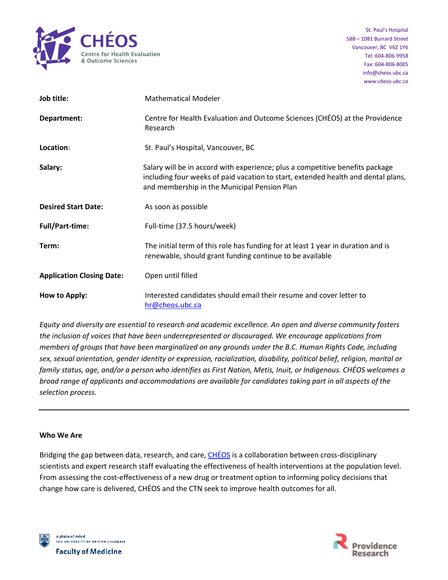

| Job title:                       | <b>Mathematical Modeler</b>                                                                                                                                                                                        |
|----------------------------------|--------------------------------------------------------------------------------------------------------------------------------------------------------------------------------------------------------------------|
| Department:                      | Centre for Health Evaluation and Outcome Sciences (CHÉOS) at the Providence<br>Research                                                                                                                            |
| Location:                        | St. Paul's Hospital, Vancouver, BC                                                                                                                                                                                 |
| Salary:                          | Salary will be in accord with experience; plus a competitive benefits package<br>including four weeks of paid vacation to start, extended health and dental plans,<br>and membership in the Municipal Pension Plan |
| <b>Desired Start Date:</b>       | As soon as possible                                                                                                                                                                                                |
| <b>Full/Part-time:</b>           | Full-time (37.5 hours/week)                                                                                                                                                                                        |
| Term:                            | The initial term of this role has funding for at least 1 year in duration and is<br>renewable, should grant funding continue to be available                                                                       |
| <b>Application Closing Date:</b> | Open until filled                                                                                                                                                                                                  |
| How to Apply:                    | Interested candidates should email their resume and cover letter to<br>hr@cheos.ubc.ca                                                                                                                             |

*Equity and diversity are essential to research and academic excellence. An open and diverse community fosters the inclusion of voices that have been underrepresented or discouraged. We encourage applications from members of groups that have been marginalized on any grounds under the B.C. Human Rights Code, including sex, sexual orientation, gender identity or expression, racialization, disability, political belief, religion, marital or family status, age, and/or a person who identifies as First Nation, Metis, Inuit, or Indigenous. CHÉOS welcomes a broad range of applicants and accommodations are available for candidates taking part in all aspects of the selection process.*

### **Who We Are**

Bridging the gap between data, research, and care, [CHÉOS](https://www.cheos.ubc.ca/) is a collaboration between cross-disciplinary scientists and expert research staff evaluating the effectiveness of health interventions at the population level. From assessing the cost-effectiveness of a new drug or treatment option to informing policy decisions that change how care is delivered, CHÉOS and the CTN seek to improve health outcomes for all.



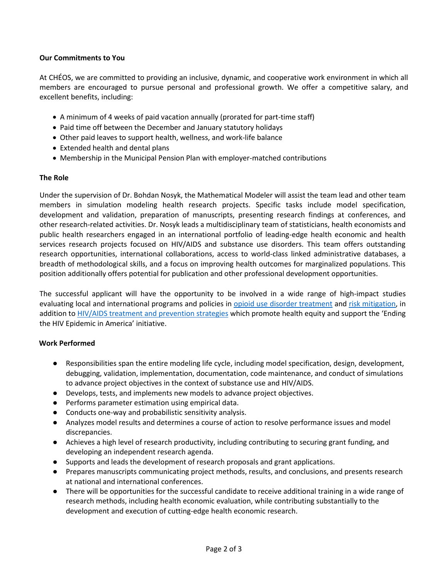## **Our Commitments to You**

At CHÉOS, we are committed to providing an inclusive, dynamic, and cooperative work environment in which all members are encouraged to pursue personal and professional growth. We offer a competitive salary, and excellent benefits, including:

- A minimum of 4 weeks of paid vacation annually (prorated for part-time staff)
- Paid time off between the December and January statutory holidays
- Other paid leaves to support health, wellness, and work-life balance
- Extended health and dental plans
- Membership in the Municipal Pension Plan with employer-matched contributions

## **The Role**

Under the supervision of Dr. Bohdan Nosyk, the Mathematical Modeler will assist the team lead and other team members in simulation modeling health research projects. Specific tasks include model specification, development and validation, preparation of manuscripts, presenting research findings at conferences, and other research-related activities. Dr. Nosyk leads a multidisciplinary team of statisticians, health economists and public health researchers engaged in an international portfolio of leading-edge health economic and health services research projects focused on HIV/AIDS and substance use disorders. This team offers outstanding research opportunities, international collaborations, access to world-class linked administrative databases, a breadth of methodological skills, and a focus on improving health outcomes for marginalized populations. This position additionally offers potential for publication and other professional development opportunities.

The successful applicant will have the opportunity to be involved in a wide range of high-impact studies evaluating local and international programs and policies in [opioid use disorder treatment](https://bmjopen.bmj.com/content/10/9/e036102) an[d risk mitigation,](https://bmjopen.bmj.com/content/11/6/e048353) in addition to **HIV/AIDS** treatment and prevention strategies which promote health equity and support the 'Ending the HIV Epidemic in America' initiative.

# **Work Performed**

- Responsibilities span the entire modeling life cycle, including model specification, design, development, debugging, validation, implementation, documentation, code maintenance, and conduct of simulations to advance project objectives in the context of substance use and HIV/AIDS.
- Develops, tests, and implements new models to advance project objectives.
- Performs parameter estimation using empirical data.
- Conducts one-way and probabilistic sensitivity analysis.
- Analyzes model results and determines a course of action to resolve performance issues and model discrepancies.
- Achieves a high level of research productivity, including contributing to securing grant funding, and developing an independent research agenda.
- Supports and leads the development of research proposals and grant applications.
- Prepares manuscripts communicating project methods, results, and conclusions, and presents research at national and international conferences.
- There will be opportunities for the successful candidate to receive additional training in a wide range of research methods, including health economic evaluation, while contributing substantially to the development and execution of cutting-edge health economic research.